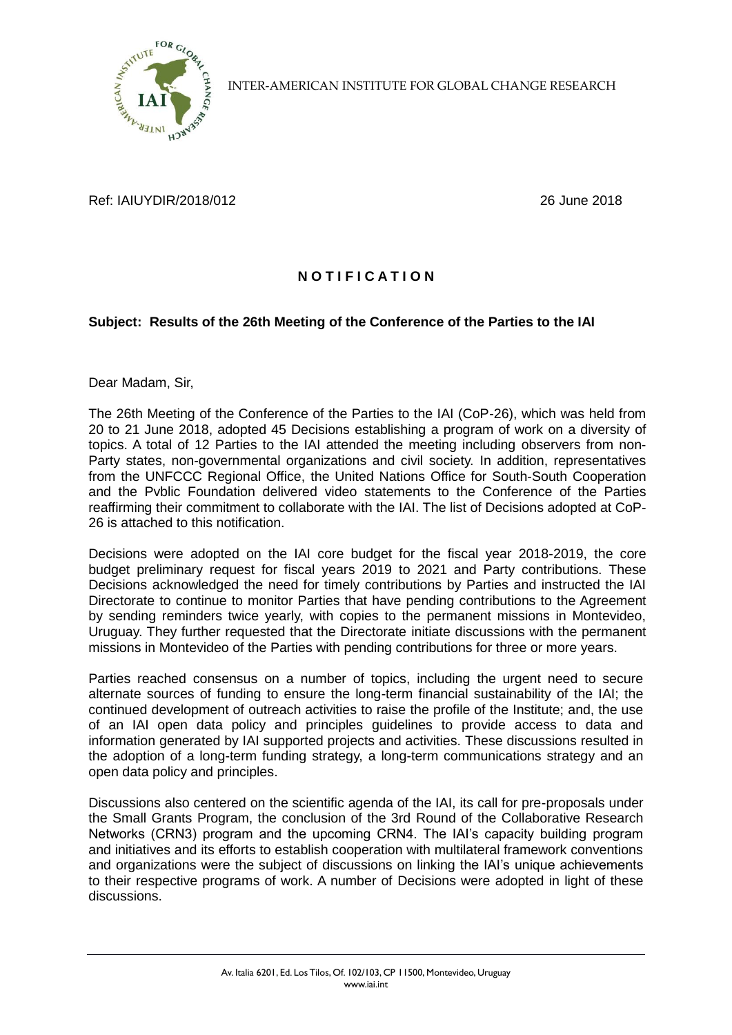

INTER-AMERICAN INSTITUTE FOR GLOBAL CHANGE RESEARCH

Ref: IAIUYDIR/2018/012 26 June 2018

## **N O T I F I C A T I O N**

## **Subject: Results of the 26th Meeting of the Conference of the Parties to the IAI**

Dear Madam, Sir,

The 26th Meeting of the Conference of the Parties to the IAI (CoP-26), which was held from 20 to 21 June 2018, adopted 45 Decisions establishing a program of work on a diversity of topics. A total of 12 Parties to the IAI attended the meeting including observers from non-Party states, non-governmental organizations and civil society. In addition, representatives from the UNFCCC Regional Office, the United Nations Office for South-South Cooperation and the Pvblic Foundation delivered video statements to the Conference of the Parties reaffirming their commitment to collaborate with the IAI. The list of Decisions adopted at CoP-26 is attached to this notification.

Decisions were adopted on the IAI core budget for the fiscal year 2018-2019, the core budget preliminary request for fiscal years 2019 to 2021 and Party contributions. These Decisions acknowledged the need for timely contributions by Parties and instructed the IAI Directorate to continue to monitor Parties that have pending contributions to the Agreement by sending reminders twice yearly, with copies to the permanent missions in Montevideo, Uruguay. They further requested that the Directorate initiate discussions with the permanent missions in Montevideo of the Parties with pending contributions for three or more years.

Parties reached consensus on a number of topics, including the urgent need to secure alternate sources of funding to ensure the long-term financial sustainability of the IAI; the continued development of outreach activities to raise the profile of the Institute; and, the use of an IAI open data policy and principles guidelines to provide access to data and information generated by IAI supported projects and activities. These discussions resulted in the adoption of a long-term funding strategy, a long-term communications strategy and an open data policy and principles.

Discussions also centered on the scientific agenda of the IAI, its call for pre-proposals under the Small Grants Program, the conclusion of the 3rd Round of the Collaborative Research Networks (CRN3) program and the upcoming CRN4. The IAI's capacity building program and initiatives and its efforts to establish cooperation with multilateral framework conventions and organizations were the subject of discussions on linking the IAI's unique achievements to their respective programs of work. A number of Decisions were adopted in light of these discussions.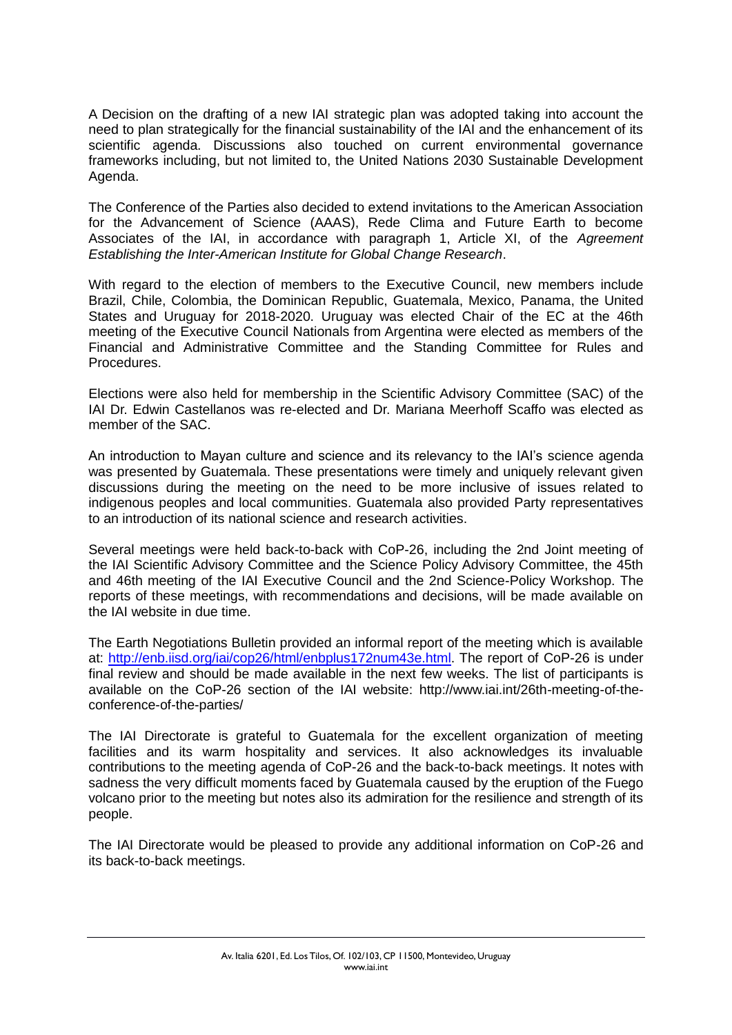A Decision on the drafting of a new IAI strategic plan was adopted taking into account the need to plan strategically for the financial sustainability of the IAI and the enhancement of its scientific agenda. Discussions also touched on current environmental governance frameworks including, but not limited to, the United Nations 2030 Sustainable Development Agenda.

The Conference of the Parties also decided to extend invitations to the American Association for the Advancement of Science (AAAS), Rede Clima and Future Earth to become Associates of the IAI, in accordance with paragraph 1, Article XI, of the *Agreement Establishing the Inter-American Institute for Global Change Research*.

With regard to the election of members to the Executive Council, new members include Brazil, Chile, Colombia, the Dominican Republic, Guatemala, Mexico, Panama, the United States and Uruguay for 2018-2020. Uruguay was elected Chair of the EC at the 46th meeting of the Executive Council Nationals from Argentina were elected as members of the Financial and Administrative Committee and the Standing Committee for Rules and Procedures.

Elections were also held for membership in the Scientific Advisory Committee (SAC) of the IAI Dr. Edwin Castellanos was re-elected and Dr. Mariana Meerhoff Scaffo was elected as member of the SAC.

An introduction to Mayan culture and science and its relevancy to the IAI's science agenda was presented by Guatemala. These presentations were timely and uniquely relevant given discussions during the meeting on the need to be more inclusive of issues related to indigenous peoples and local communities. Guatemala also provided Party representatives to an introduction of its national science and research activities.

Several meetings were held back-to-back with CoP-26, including the 2nd Joint meeting of the IAI Scientific Advisory Committee and the Science Policy Advisory Committee, the 45th and 46th meeting of the IAI Executive Council and the 2nd Science-Policy Workshop. The reports of these meetings, with recommendations and decisions, will be made available on the IAI website in due time.

The Earth Negotiations Bulletin provided an informal report of the meeting which is available at: [http://enb.iisd.org/iai/cop26/html/enbplus172num43e.html.](http://enb.iisd.org/iai/cop26/html/enbplus172num43e.html) The report of CoP-26 is under final review and should be made available in the next few weeks. The list of participants is available on the CoP-26 section of the IAI website: http://www.iai.int/26th-meeting-of-theconference-of-the-parties/

The IAI Directorate is grateful to Guatemala for the excellent organization of meeting facilities and its warm hospitality and services. It also acknowledges its invaluable contributions to the meeting agenda of CoP-26 and the back-to-back meetings. It notes with sadness the very difficult moments faced by Guatemala caused by the eruption of the Fuego volcano prior to the meeting but notes also its admiration for the resilience and strength of its people.

The IAI Directorate would be pleased to provide any additional information on CoP-26 and its back-to-back meetings.